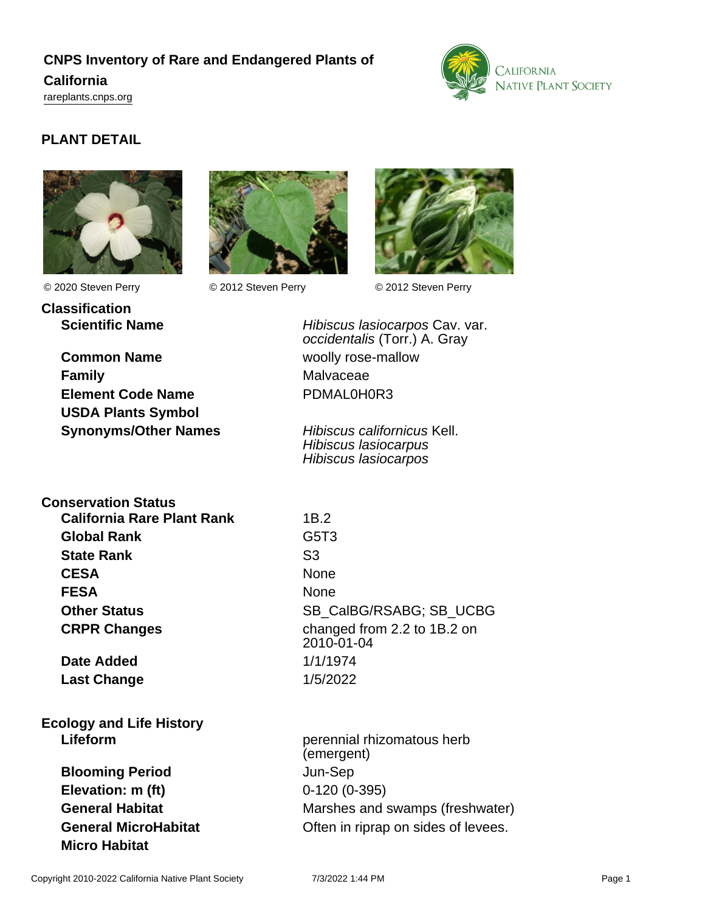# **CNPS Inventory of Rare and Endangered Plants of California** <rareplants.cnps.org>



# **PLANT DETAIL**





**Classification**



© 2020 Steven Perry © 2012 Steven Perry © 2012 Steven Perry

**Common Name** woolly rose-mallow **Family** Malvaceae **Element Code Name** PDMAL0H0R3

**USDA Plants Symbol**

**Scientific Name Hibiscus lasiocarpos Cav. var.** occidentalis (Torr.) A. Gray

**Synonyms/Other Names** Hibiscus californicus Kell. Hibiscus lasiocarpus Hibiscus lasiocarpos

## **Conservation Status**

**California Rare Plant Rank** 1B.2 **Global Rank** G5T3 **State Rank** S3 **CESA** None **FESA** None

**Date Added** 1/1/1974 **Last Change** 1/5/2022

**Ecology and Life History**

**Blooming Period** Jun-Sep **Elevation: m (ft)** 0-120 (0-395) **Micro Habitat**

**Other Status** SB\_CalBG/RSABG; SB\_UCBG **CRPR Changes** changed from 2.2 to 1B.2 on 2010-01-04

**Lifeform perennial rhizomatous herb perennial rhizomatous herb** (emergent) **General Habitat** Marshes and swamps (freshwater) **General MicroHabitat Conservery Often in riprap on sides of levees.**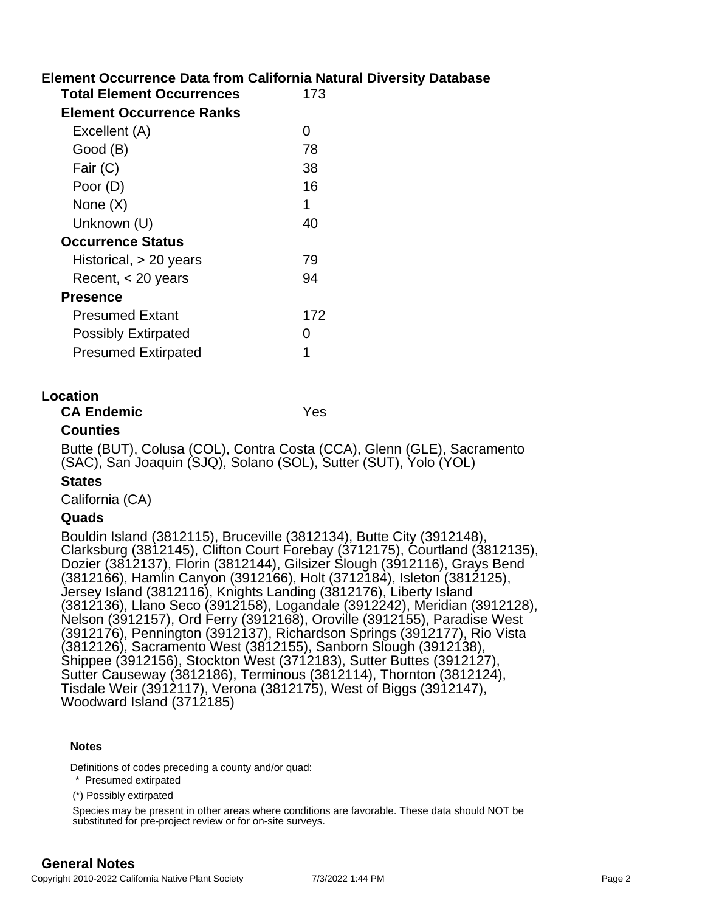# **Element Occurrence Data from California Natural Diversity Database**

| <b>Total Element Occurrences</b> | 173 |
|----------------------------------|-----|
| Element Occurrence Ranks         |     |
| Excellent (A)                    | 0   |
| Good (B)                         | 78  |
| Fair (C)                         | 38  |
| Poor (D)                         | 16  |
| None $(X)$                       | 1   |
| Unknown (U)                      | 40  |
| <b>Occurrence Status</b>         |     |
| Historical, > 20 years           | 79  |
| Recent, $<$ 20 years             | 94  |
| <b>Presence</b>                  |     |
| <b>Presumed Extant</b>           | 172 |
| <b>Possibly Extirpated</b>       | 0   |
| <b>Presumed Extirpated</b>       |     |
|                                  |     |

### **Location**

### **CA Endemic** Yes

### **Counties**

Butte (BUT), Colusa (COL), Contra Costa (CCA), Glenn (GLE), Sacramento (SAC), San Joaquin (SJQ), Solano (SOL), Sutter (SUT), Yolo (YOL)

### **States**

California (CA)

### **Quads**

Bouldin Island (3812115), Bruceville (3812134), Butte City (3912148), Clarksburg (3812145), Clifton Court Forebay (3712175), Courtland (3812135), Dozier (3812137), Florin (3812144), Gilsizer Slough (3912116), Grays Bend (3812166), Hamlin Canyon (3912166), Holt (3712184), Isleton (3812125), Jersey Island (3812116), Knights Landing (3812176), Liberty Island (3812136), Llano Seco (3912158), Logandale (3912242), Meridian (3912128), Nelson (3912157), Ord Ferry (3912168), Oroville (3912155), Paradise West (3912176), Pennington (3912137), Richardson Springs (3912177), Rio Vista (3812126), Sacramento West (3812155), Sanborn Slough (3912138), Shippee (3912156), Stockton West (3712183), Sutter Buttes (3912127), Sutter Causeway (3812186), Terminous (3812114), Thornton (3812124), Tisdale Weir (3912117), Verona (3812175), West of Biggs (3912147), Woodward Island (3712185)

#### **Notes**

Definitions of codes preceding a county and/or quad:

\* Presumed extirpated

(\*) Possibly extirpated

Species may be present in other areas where conditions are favorable. These data should NOT be substituted for pre-project review or for on-site surveys.